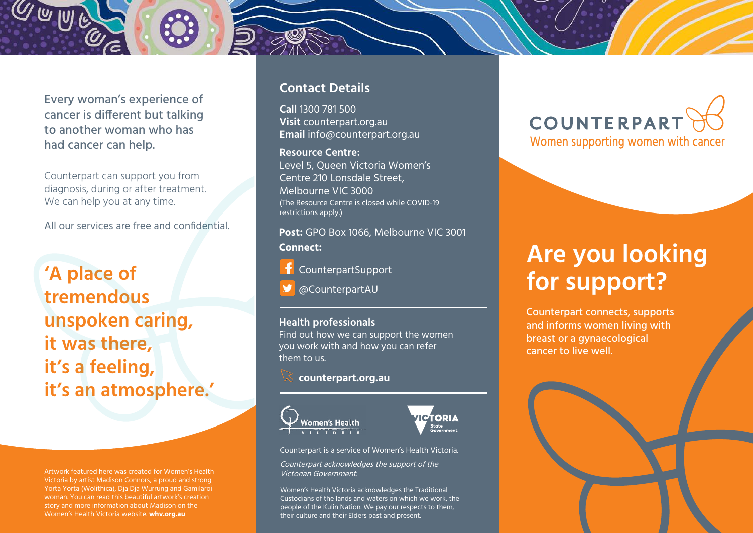Every woman's experience of cancer is different but talking to another woman who has had cancer can help.

Counterpart can support you from diagnosis, during or after treatment. We can help you at any time.

All our services are free and confidential.

## **'A place of tremendous unspoken caring, it was there, it's a feeling, it's an atmosphere.'**

Artwork featured here was created for Women's Health Victoria by artist Madison Connors, a proud and strong Yorta Yorta (Wolithica), Dja Dja Wurrung and Gamilaroi woman. You can read this beautiful artwork's creation story and more information about Madison on the Women's Health Victoria website. **whv.org.au**

## **Contact Details**

**Call** 1300 781 500 **Visit** counterpart.org.au **Email** info@counterpart.org.au

**Resource Centre:**  Level 5, Queen Victoria Women's Centre 210 Lonsdale Street, Melbourne VIC 3000 (The Resource Centre is closed while COVID-19 restrictions apply.)

**Post:** GPO Box 1066, Melbourne VIC 3001 **Connect:**

f CounterpartSupport

@CounterpartAU

#### **Health professionals**

Find out how we can support the women you work with and how you can refer them to us.

#### **[counterpart.org.au](http://counterpart.org.au)**





Counterpart is a service of Women's Health Victoria.

Counterpart acknowledges the support of the Victorian Government.

Women's Health Victoria acknowledges the Traditional Custodians of the lands and waters on which we work, the people of the Kulin Nation. We pay our respects to them, their culture and their Elders past and present.



# **Are you looking for support?**

Counterpart connects, supports and informs women living with breast or a gynaecological cancer to live well.